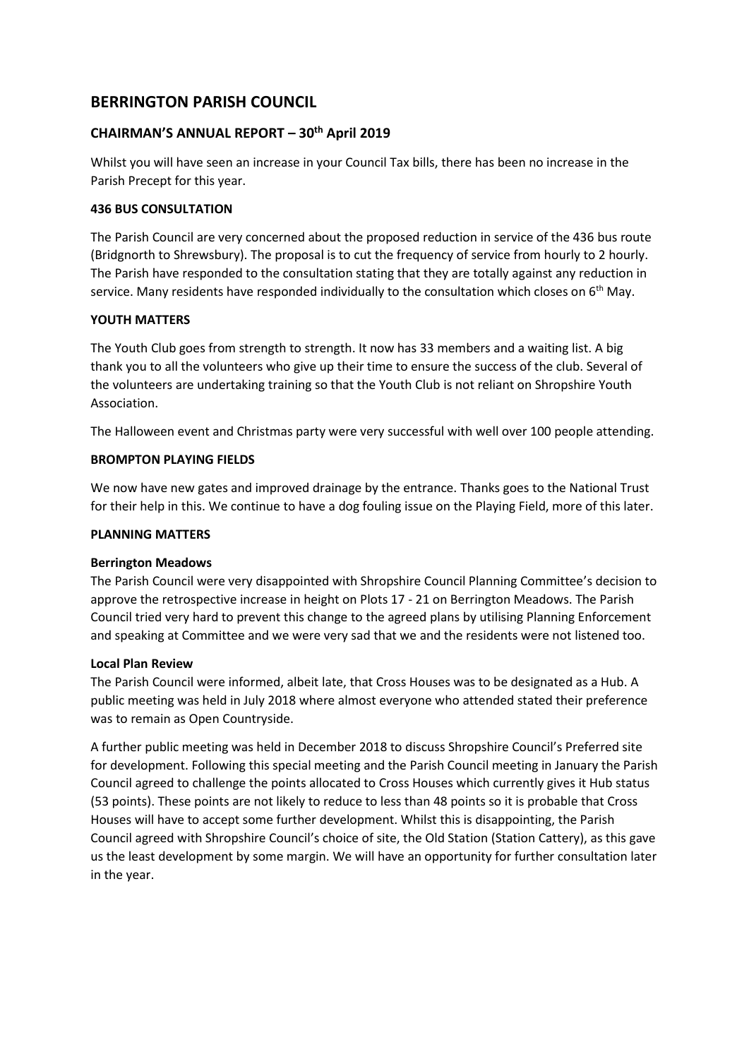# **BERRINGTON PARISH COUNCIL**

# **CHAIRMAN'S ANNUAL REPORT – 30th April 2019**

Whilst you will have seen an increase in your Council Tax bills, there has been no increase in the Parish Precept for this year.

## **436 BUS CONSULTATION**

The Parish Council are very concerned about the proposed reduction in service of the 436 bus route (Bridgnorth to Shrewsbury). The proposal is to cut the frequency of service from hourly to 2 hourly. The Parish have responded to the consultation stating that they are totally against any reduction in service. Many residents have responded individually to the consultation which closes on  $6<sup>th</sup>$  May.

# **YOUTH MATTERS**

The Youth Club goes from strength to strength. It now has 33 members and a waiting list. A big thank you to all the volunteers who give up their time to ensure the success of the club. Several of the volunteers are undertaking training so that the Youth Club is not reliant on Shropshire Youth Association.

The Halloween event and Christmas party were very successful with well over 100 people attending.

# **BROMPTON PLAYING FIELDS**

We now have new gates and improved drainage by the entrance. Thanks goes to the National Trust for their help in this. We continue to have a dog fouling issue on the Playing Field, more of this later.

## **PLANNING MATTERS**

#### **Berrington Meadows**

The Parish Council were very disappointed with Shropshire Council Planning Committee's decision to approve the retrospective increase in height on Plots 17 - 21 on Berrington Meadows. The Parish Council tried very hard to prevent this change to the agreed plans by utilising Planning Enforcement and speaking at Committee and we were very sad that we and the residents were not listened too.

#### **Local Plan Review**

The Parish Council were informed, albeit late, that Cross Houses was to be designated as a Hub. A public meeting was held in July 2018 where almost everyone who attended stated their preference was to remain as Open Countryside.

A further public meeting was held in December 2018 to discuss Shropshire Council's Preferred site for development. Following this special meeting and the Parish Council meeting in January the Parish Council agreed to challenge the points allocated to Cross Houses which currently gives it Hub status (53 points). These points are not likely to reduce to less than 48 points so it is probable that Cross Houses will have to accept some further development. Whilst this is disappointing, the Parish Council agreed with Shropshire Council's choice of site, the Old Station (Station Cattery), as this gave us the least development by some margin. We will have an opportunity for further consultation later in the year.